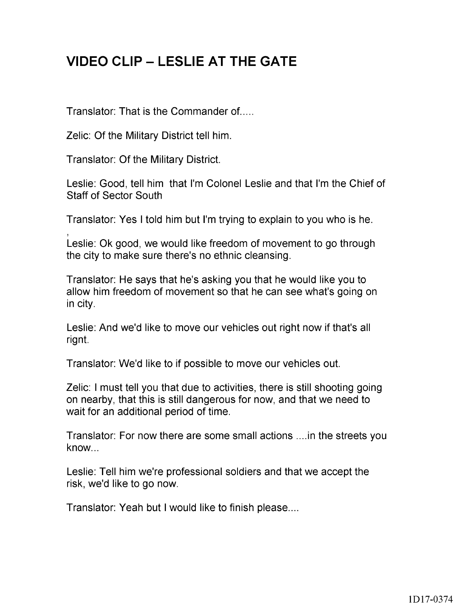## **VIDEO CLIP - LESLIE AT THE GATE**

Translator: That is the Commander of.....

Zelic: Of the Military District tell him.

Translator: Of the Military District.

Leslie: Good, tell him that I'm Colonel Leslie and that I'm the Chief of Staff of Sector South

Translator: Yes I told him but I'm trying to explain to you who is he.

Leslie: Ok good, we would like freedom of movement to go through the city to make sure there's no ethnic cleansing.

Translator: He says that he's asking you that he would like you to allow him freedom of movement so that he can see what's going on in city.

Leslie: And we'd like to move our vehicles out right now if that's all rignt.

Translator: We'd like to if possible to move our vehicles out.

Zelic: I must tell you that due to activities, there is still shooting going on nearby, that this is still dangerous for now, and that we need to wait for an additional period of time.

Translator: For now there are some small actions .... in the streets you know...

Leslie: Tell him we're professional soldiers and that we accept the risk, we'd like to go now.

Translator: Yeah but I would like to finish please....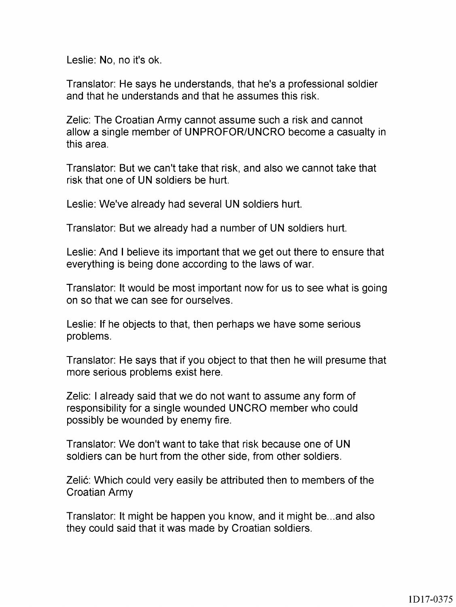Leslie: No, no it's ok.

Translator: He says he understands, that he's a professional soldier and that he understands and that he assumes this risk.

Zelic: The Croatian Army cannot assume such a risk and cannot allow a single member of UNPROFOR/UNCRO become a casualty in this area.

Translator: But we can't take that risk, and also we cannot take that risk that one of UN soldiers be hurt.

Leslie: We've already had several UN soldiers hurt.

Translator: But we already had a number of UN soldiers hurt.

Leslie: And I believe its important that we get out there to ensure that everything is being done according to the laws of war.

Translator: It would be most important now for us to see what is going on so that we can see for ourselves.

Leslie: If he objects to that, then perhaps we have some serious problems.

Translator: He says that if you object to that then he will presume that more serious problems exist here.

Zelic: I already said that we do not want to assume any form of responsibility for a single wounded UNCRO member who could possibly be wounded by enemy fire.

Translator: We don't want to take that risk because one of UN soldiers can be hurt from the other side, from other soldiers.

Zelic: Which could very easily be attributed then to members of the Croatian Army

Translator: It might be happen you know, and it might be ... and also they could said that it was made by Croatian soldiers.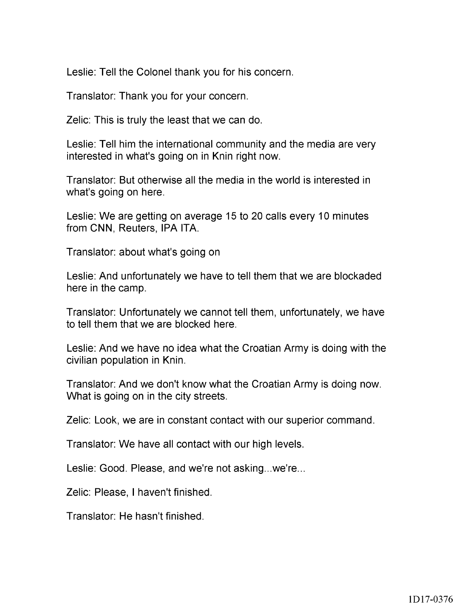Leslie: Tell the Colonel thank you for his concern.

Translator: Thank you for your concern.

Zelic: This is truly the least that we can do.

Leslie: Tell him the international community and the media are very interested in what's going on in Knin right now.

Translator: But otherwise all the media in the world is interested in what's going on here.

Leslie: We are getting on average 15 to 20 calls every 10 minutes from CNN, Reuters, IPA ITA.

Translator: about what's going on

Leslie: And unfortunately we have to tell them that we are blockaded here in the camp.

Translator: Unfortunately we cannot tell them, unfortunately, we have to tell them that we are blocked here.

Leslie: And we have no idea what the Croatian Army is doing with the civilian population in Knin.

Translator: And we don't know what the Croatian Army is doing now. What is going on in the city streets.

Zelic: Look, we are in constant contact with our superior command.

Translator: We have all contact with our high levels.

Leslie: Good. Please, and we're not asking... we're...

Zelic: Please, I haven't finished.

Translator: He hasn't finished.